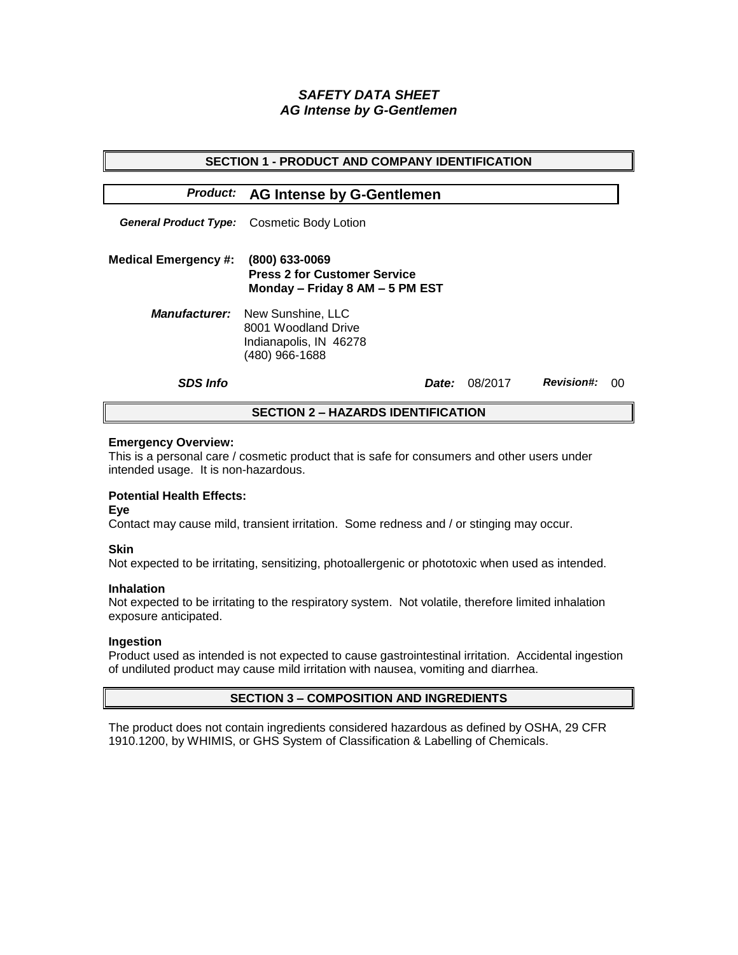# *SAFETY DATA SHEET AG Intense by G-Gentlemen*

| <b>SECTION 1 - PRODUCT AND COMPANY IDENTIFICATION</b> |                                                                                                           |         |                   |    |  |  |
|-------------------------------------------------------|-----------------------------------------------------------------------------------------------------------|---------|-------------------|----|--|--|
|                                                       | <b>Product: AG Intense by G-Gentlemen</b>                                                                 |         |                   |    |  |  |
|                                                       | <b>General Product Type:</b> Cosmetic Body Lotion                                                         |         |                   |    |  |  |
| <b>Medical Emergency #:</b>                           | (800) 633-0069<br><b>Press 2 for Customer Service</b><br>Monday - Friday 8 AM - 5 PM EST                  |         |                   |    |  |  |
|                                                       | <b>Manufacturer:</b> New Sunshine, LLC<br>8001 Woodland Drive<br>Indianapolis, IN 46278<br>(480) 966-1688 |         |                   |    |  |  |
| <b>SDS Info</b>                                       | <b>Date:</b>                                                                                              | 08/2017 | <b>Revision#:</b> | ററ |  |  |
| <b>SECTION 2 - HAZARDS IDENTIFICATION</b>             |                                                                                                           |         |                   |    |  |  |

### **Emergency Overview:**

This is a personal care / cosmetic product that is safe for consumers and other users under intended usage. It is non-hazardous.

## **Potential Health Effects:**

**Eye**

Contact may cause mild, transient irritation. Some redness and / or stinging may occur.

### **Skin**

Not expected to be irritating, sensitizing, photoallergenic or phototoxic when used as intended.

#### **Inhalation**

Not expected to be irritating to the respiratory system. Not volatile, therefore limited inhalation exposure anticipated.

### **Ingestion**

Product used as intended is not expected to cause gastrointestinal irritation. Accidental ingestion of undiluted product may cause mild irritation with nausea, vomiting and diarrhea.

### **SECTION 3 – COMPOSITION AND INGREDIENTS**

The product does not contain ingredients considered hazardous as defined by OSHA, 29 CFR 1910.1200, by WHIMIS, or GHS System of Classification & Labelling of Chemicals.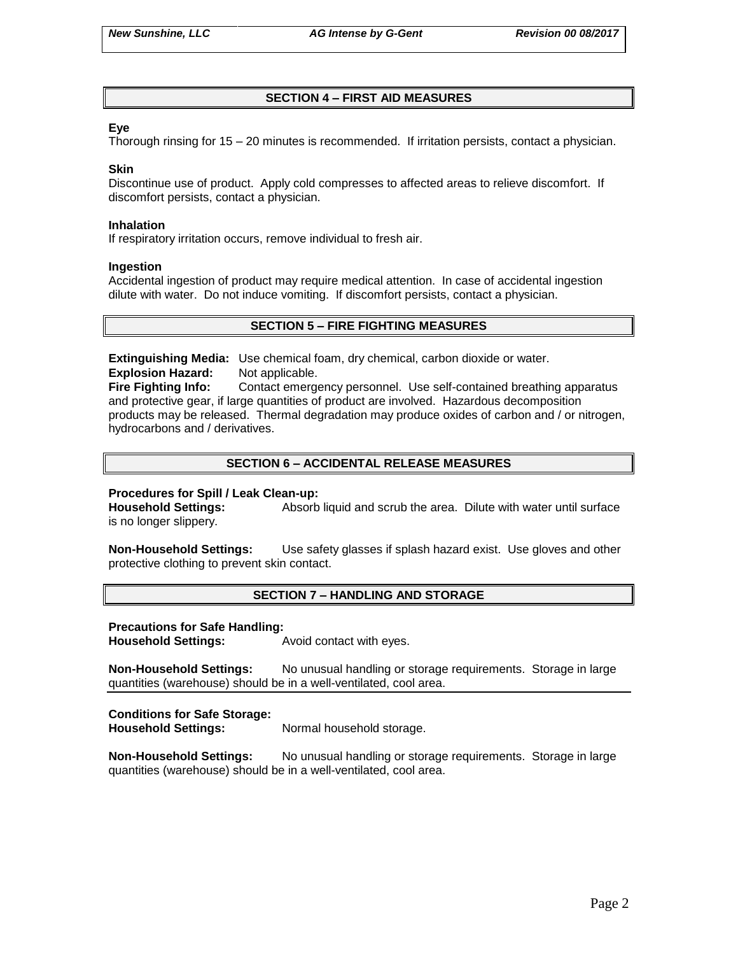## **SECTION 4 – FIRST AID MEASURES**

### **Eye**

Thorough rinsing for 15 – 20 minutes is recommended. If irritation persists, contact a physician.

### **Skin**

Discontinue use of product. Apply cold compresses to affected areas to relieve discomfort. If discomfort persists, contact a physician.

#### **Inhalation**

If respiratory irritation occurs, remove individual to fresh air.

### **Ingestion**

Accidental ingestion of product may require medical attention. In case of accidental ingestion dilute with water. Do not induce vomiting. If discomfort persists, contact a physician.

### **SECTION 5 – FIRE FIGHTING MEASURES**

**Extinguishing Media:** Use chemical foam, dry chemical, carbon dioxide or water. **Explosion Hazard:** Not applicable.

**Fire Fighting Info:** Contact emergency personnel. Use self-contained breathing apparatus and protective gear, if large quantities of product are involved. Hazardous decomposition products may be released. Thermal degradation may produce oxides of carbon and / or nitrogen, hydrocarbons and / derivatives.

## **SECTION 6 – ACCIDENTAL RELEASE MEASURES**

### **Procedures for Spill / Leak Clean-up:**

**Household Settings:** Absorb liquid and scrub the area. Dilute with water until surface is no longer slippery.

**Non-Household Settings:** Use safety glasses if splash hazard exist. Use gloves and other protective clothing to prevent skin contact.

### **SECTION 7 – HANDLING AND STORAGE**

#### **Precautions for Safe Handling:**

**Household Settings:** Avoid contact with eyes.

**Non-Household Settings:** No unusual handling or storage requirements. Storage in large quantities (warehouse) should be in a well-ventilated, cool area.

### **Conditions for Safe Storage:**

**Household Settings:** Normal household storage.

**Non-Household Settings:** No unusual handling or storage requirements. Storage in large quantities (warehouse) should be in a well-ventilated, cool area.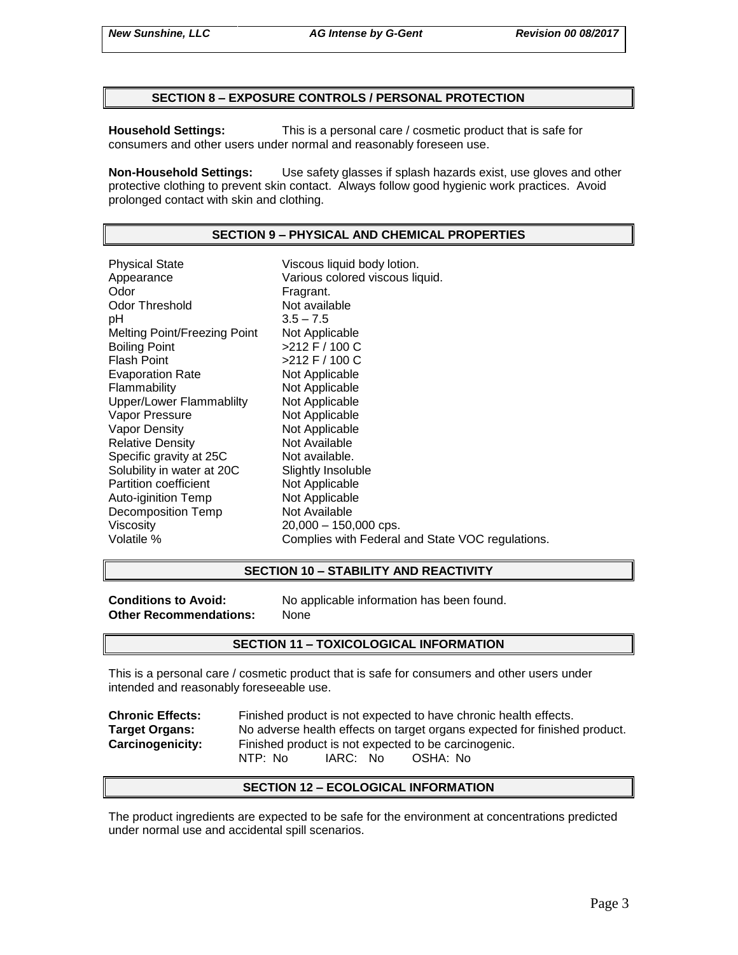### **SECTION 8 – EXPOSURE CONTROLS / PERSONAL PROTECTION**

**Household Settings:** This is a personal care / cosmetic product that is safe for consumers and other users under normal and reasonably foreseen use.

**Non-Household Settings:** Use safety glasses if splash hazards exist, use gloves and other protective clothing to prevent skin contact. Always follow good hygienic work practices. Avoid prolonged contact with skin and clothing.

### **SECTION 9 – PHYSICAL AND CHEMICAL PROPERTIES**

Physical State Viscous liquid body lotion. Appearance Various colored viscous liquid.<br>
Odor Color Color Fragrant. Odor Threshold Not available pH 3.5 – 7.5 Melting Point/Freezing Point Not Applicable Boiling Point  $>212$  F / 100 C Flash Point  $>212$  F / 100 C Evaporation Rate Not Applicable Flammability Not Applicable Upper/Lower Flammablilty Not Applicable Vapor Pressure Not Applicable Vapor Density Not Applicable Relative Density Not Available Specific gravity at 25C Not available. Solubility in water at 20C Slightly Insoluble<br>
Partition coefficient
Subsetted Not Applicable Partition coefficient<br>
Auto-iginition Temp<br>
Not Applicable Auto-iginition Temp Decomposition Temp Not Available Viscosity 20,000 – 150,000 cps. Volatile % Complies with Federal and State VOC regulations.

#### **SECTION 10 – STABILITY AND REACTIVITY**

**Other Recommendations:** None

**Conditions to Avoid:** No applicable information has been found.

#### **SECTION 11 – TOXICOLOGICAL INFORMATION**

This is a personal care / cosmetic product that is safe for consumers and other users under intended and reasonably foreseeable use.

| <b>Chronic Effects:</b> | Finished product is not expected to have chronic health effects.          |  |  |
|-------------------------|---------------------------------------------------------------------------|--|--|
| <b>Target Organs:</b>   | No adverse health effects on target organs expected for finished product. |  |  |
| <b>Carcinogenicity:</b> | Finished product is not expected to be carcinogenic.                      |  |  |
|                         | IARC: No<br>NTP: No<br>OSHA: No                                           |  |  |

#### **SECTION 12 – ECOLOGICAL INFORMATION**

The product ingredients are expected to be safe for the environment at concentrations predicted under normal use and accidental spill scenarios.